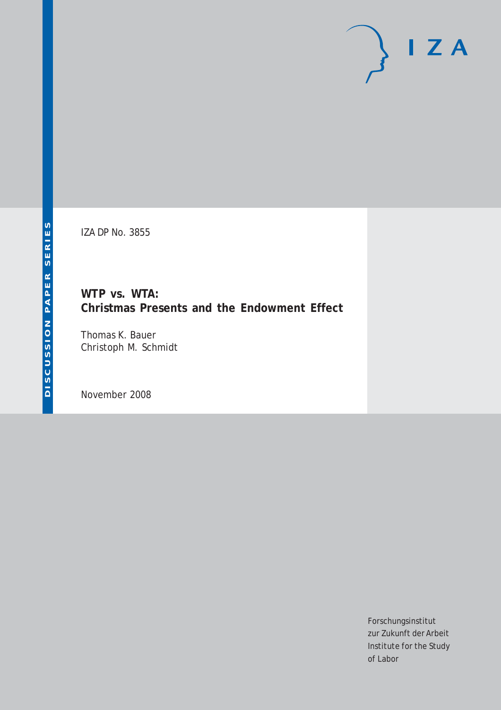# $I Z A$

IZA DP No. 3855

**WTP vs. WTA: Christmas Presents and the Endowment Effect**

Thomas K. Bauer Christoph M. Schmidt

November 2008

Forschungsinstitut zur Zukunft der Arbeit Institute for the Study of Labor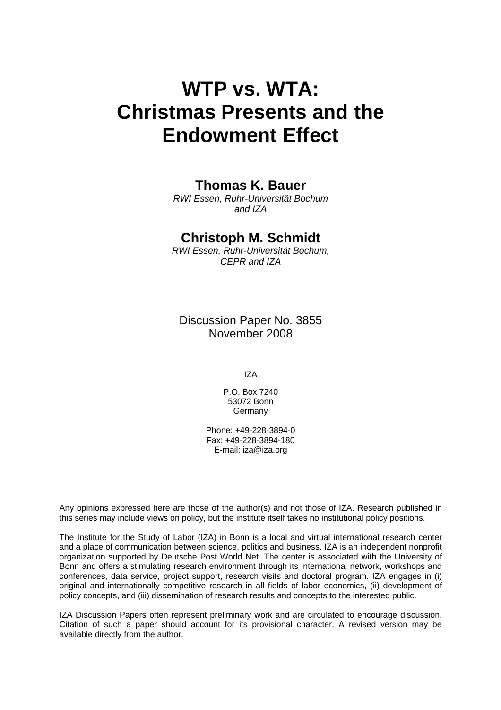# **WTP vs. WTA: Christmas Presents and the Endowment Effect**

#### **Thomas K. Bauer**

*RWI Essen, Ruhr-Universität Bochum and IZA* 

#### **Christoph M. Schmidt**

*RWI Essen, Ruhr-Universität Bochum, CEPR and IZA* 

Discussion Paper No. 3855 November 2008

IZA

P.O. Box 7240 53072 Bonn Germany

Phone: +49-228-3894-0 Fax: +49-228-3894-180 E-mail: [iza@iza.org](mailto:iza@iza.org)

Any opinions expressed here are those of the author(s) and not those of IZA. Research published in this series may include views on policy, but the institute itself takes no institutional policy positions.

The Institute for the Study of Labor (IZA) in Bonn is a local and virtual international research center and a place of communication between science, politics and business. IZA is an independent nonprofit organization supported by Deutsche Post World Net. The center is associated with the University of Bonn and offers a stimulating research environment through its international network, workshops and conferences, data service, project support, research visits and doctoral program. IZA engages in (i) original and internationally competitive research in all fields of labor economics, (ii) development of policy concepts, and (iii) dissemination of research results and concepts to the interested public.

IZA Discussion Papers often represent preliminary work and are circulated to encourage discussion. Citation of such a paper should account for its provisional character. A revised version may be available directly from the author.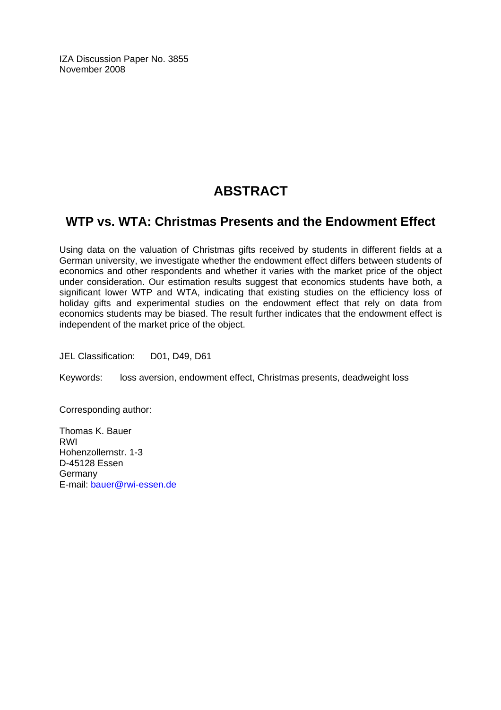IZA Discussion Paper No. 3855 November 2008

## **ABSTRACT**

#### **WTP vs. WTA: Christmas Presents and the Endowment Effect**

Using data on the valuation of Christmas gifts received by students in different fields at a German university, we investigate whether the endowment effect differs between students of economics and other respondents and whether it varies with the market price of the object under consideration. Our estimation results suggest that economics students have both, a significant lower WTP and WTA, indicating that existing studies on the efficiency loss of holiday gifts and experimental studies on the endowment effect that rely on data from economics students may be biased. The result further indicates that the endowment effect is independent of the market price of the object.

JEL Classification: D01, D49, D61

Keywords: loss aversion, endowment effect, Christmas presents, deadweight loss

Corresponding author:

Thomas K. Bauer RWI Hohenzollernstr. 1-3 D-45128 Essen Germany E-mail: [bauer@rwi-essen.de](mailto:bauer@rwi-essen.de)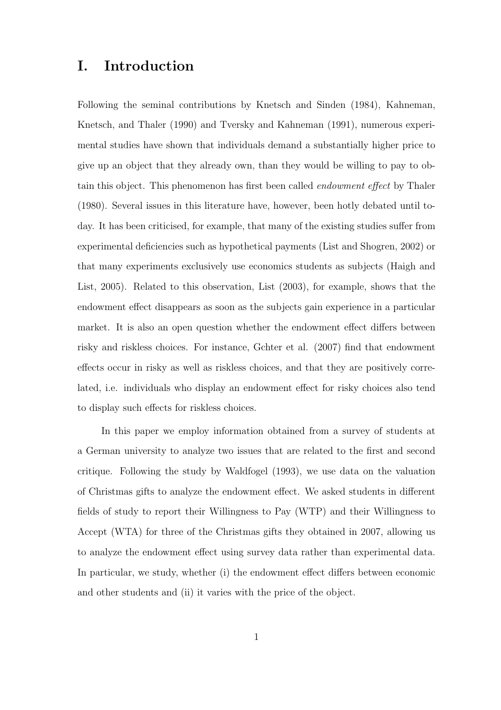#### I. Introduction

Following the seminal contributions by Knetsch and Sinden (1984), Kahneman, Knetsch, and Thaler (1990) and Tversky and Kahneman (1991), numerous experimental studies have shown that individuals demand a substantially higher price to give up an object that they already own, than they would be willing to pay to obtain this object. This phenomenon has first been called endowment effect by Thaler (1980). Several issues in this literature have, however, been hotly debated until today. It has been criticised, for example, that many of the existing studies suffer from experimental deficiencies such as hypothetical payments (List and Shogren, 2002) or that many experiments exclusively use economics students as subjects (Haigh and List, 2005). Related to this observation, List (2003), for example, shows that the endowment effect disappears as soon as the subjects gain experience in a particular market. It is also an open question whether the endowment effect differs between risky and riskless choices. For instance, Gchter et al. (2007) find that endowment effects occur in risky as well as riskless choices, and that they are positively correlated, i.e. individuals who display an endowment effect for risky choices also tend to display such effects for riskless choices.

In this paper we employ information obtained from a survey of students at a German university to analyze two issues that are related to the first and second critique. Following the study by Waldfogel (1993), we use data on the valuation of Christmas gifts to analyze the endowment effect. We asked students in different fields of study to report their Willingness to Pay (WTP) and their Willingness to Accept (WTA) for three of the Christmas gifts they obtained in 2007, allowing us to analyze the endowment effect using survey data rather than experimental data. In particular, we study, whether (i) the endowment effect differs between economic and other students and (ii) it varies with the price of the object.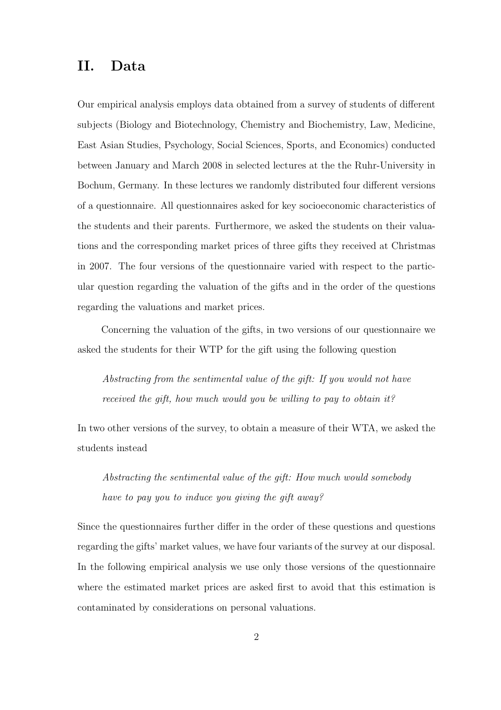### II. Data

Our empirical analysis employs data obtained from a survey of students of different subjects (Biology and Biotechnology, Chemistry and Biochemistry, Law, Medicine, East Asian Studies, Psychology, Social Sciences, Sports, and Economics) conducted between January and March 2008 in selected lectures at the the Ruhr-University in Bochum, Germany. In these lectures we randomly distributed four different versions of a questionnaire. All questionnaires asked for key socioeconomic characteristics of the students and their parents. Furthermore, we asked the students on their valuations and the corresponding market prices of three gifts they received at Christmas in 2007. The four versions of the questionnaire varied with respect to the particular question regarding the valuation of the gifts and in the order of the questions regarding the valuations and market prices.

Concerning the valuation of the gifts, in two versions of our questionnaire we asked the students for their WTP for the gift using the following question

Abstracting from the sentimental value of the gift: If you would not have received the gift, how much would you be willing to pay to obtain it?

In two other versions of the survey, to obtain a measure of their WTA, we asked the students instead

Abstracting the sentimental value of the gift: How much would somebody have to pay you to induce you giving the gift away?

Since the questionnaires further differ in the order of these questions and questions regarding the gifts' market values, we have four variants of the survey at our disposal. In the following empirical analysis we use only those versions of the questionnaire where the estimated market prices are asked first to avoid that this estimation is contaminated by considerations on personal valuations.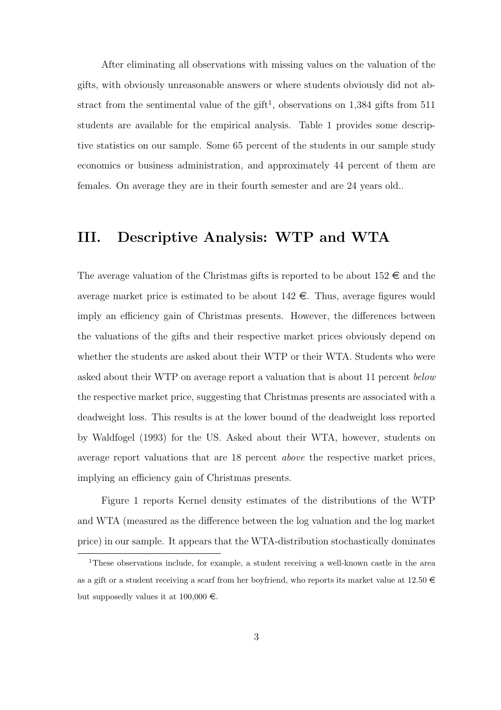After eliminating all observations with missing values on the valuation of the gifts, with obviously unreasonable answers or where students obviously did not abstract from the sentimental value of the gift<sup>1</sup>, observations on  $1,384$  gifts from  $511$ students are available for the empirical analysis. Table 1 provides some descriptive statistics on our sample. Some 65 percent of the students in our sample study economics or business administration, and approximately 44 percent of them are females. On average they are in their fourth semester and are 24 years old..

#### III. Descriptive Analysis: WTP and WTA

The average valuation of the Christmas gifts is reported to be about  $152 \epsilon$  and the average market price is estimated to be about  $142 \epsilon$ . Thus, average figures would imply an efficiency gain of Christmas presents. However, the differences between the valuations of the gifts and their respective market prices obviously depend on whether the students are asked about their WTP or their WTA. Students who were asked about their WTP on average report a valuation that is about 11 percent below the respective market price, suggesting that Christmas presents are associated with a deadweight loss. This results is at the lower bound of the deadweight loss reported by Waldfogel (1993) for the US. Asked about their WTA, however, students on average report valuations that are 18 percent above the respective market prices, implying an efficiency gain of Christmas presents.

Figure 1 reports Kernel density estimates of the distributions of the WTP and WTA (measured as the difference between the log valuation and the log market price) in our sample. It appears that the WTA-distribution stochastically dominates

<sup>&</sup>lt;sup>1</sup>These observations include, for example, a student receiving a well-known castle in the area as a gift or a student receiving a scarf from her boyfriend, who reports its market value at  $12.50 \in$ but supposedly values it at  $100,000 \in$ .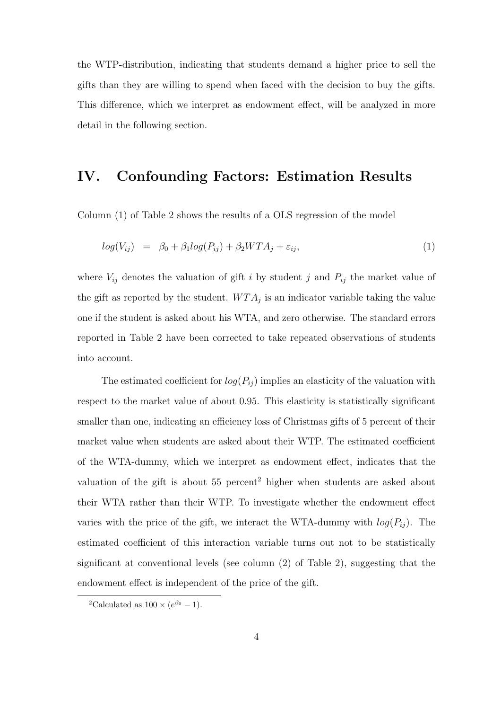the WTP-distribution, indicating that students demand a higher price to sell the gifts than they are willing to spend when faced with the decision to buy the gifts. This difference, which we interpret as endowment effect, will be analyzed in more detail in the following section.

#### IV. Confounding Factors: Estimation Results

Column (1) of Table 2 shows the results of a OLS regression of the model

$$
log(V_{ij}) = \beta_0 + \beta_1 log(P_{ij}) + \beta_2 W T A_j + \varepsilon_{ij}, \qquad (1)
$$

where  $V_{ij}$  denotes the valuation of gift i by student j and  $P_{ij}$  the market value of the gift as reported by the student.  $WTA_j$  is an indicator variable taking the value one if the student is asked about his WTA, and zero otherwise. The standard errors reported in Table 2 have been corrected to take repeated observations of students into account.

The estimated coefficient for  $log(P_{ij})$  implies an elasticity of the valuation with respect to the market value of about 0.95. This elasticity is statistically significant smaller than one, indicating an efficiency loss of Christmas gifts of 5 percent of their market value when students are asked about their WTP. The estimated coefficient of the WTA-dummy, which we interpret as endowment effect, indicates that the valuation of the gift is about  $55$  percent<sup>2</sup> higher when students are asked about their WTA rather than their WTP. To investigate whether the endowment effect varies with the price of the gift, we interact the WTA-dummy with  $log(P_{ij})$ . The estimated coefficient of this interaction variable turns out not to be statistically significant at conventional levels (see column (2) of Table 2), suggesting that the endowment effect is independent of the price of the gift.

<sup>&</sup>lt;sup>2</sup>Calculated as  $100 \times (e^{\beta_0} - 1)$ .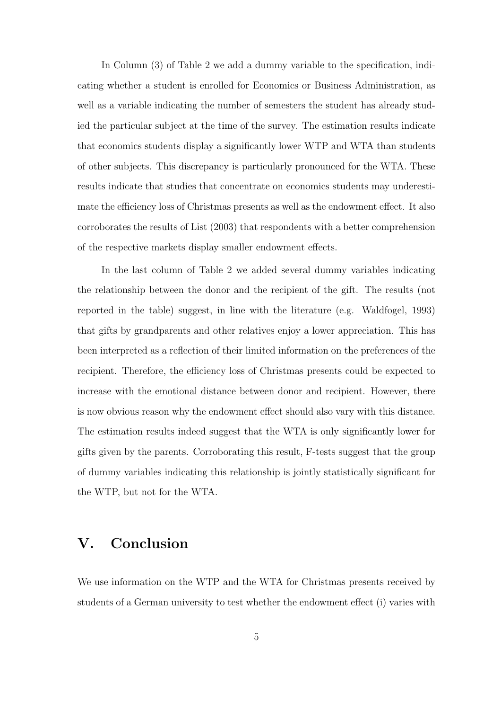In Column (3) of Table 2 we add a dummy variable to the specification, indicating whether a student is enrolled for Economics or Business Administration, as well as a variable indicating the number of semesters the student has already studied the particular subject at the time of the survey. The estimation results indicate that economics students display a significantly lower WTP and WTA than students of other subjects. This discrepancy is particularly pronounced for the WTA. These results indicate that studies that concentrate on economics students may underestimate the efficiency loss of Christmas presents as well as the endowment effect. It also corroborates the results of List (2003) that respondents with a better comprehension of the respective markets display smaller endowment effects.

In the last column of Table 2 we added several dummy variables indicating the relationship between the donor and the recipient of the gift. The results (not reported in the table) suggest, in line with the literature (e.g. Waldfogel, 1993) that gifts by grandparents and other relatives enjoy a lower appreciation. This has been interpreted as a reflection of their limited information on the preferences of the recipient. Therefore, the efficiency loss of Christmas presents could be expected to increase with the emotional distance between donor and recipient. However, there is now obvious reason why the endowment effect should also vary with this distance. The estimation results indeed suggest that the WTA is only significantly lower for gifts given by the parents. Corroborating this result, F-tests suggest that the group of dummy variables indicating this relationship is jointly statistically significant for the WTP, but not for the WTA.

#### V. Conclusion

We use information on the WTP and the WTA for Christmas presents received by students of a German university to test whether the endowment effect (i) varies with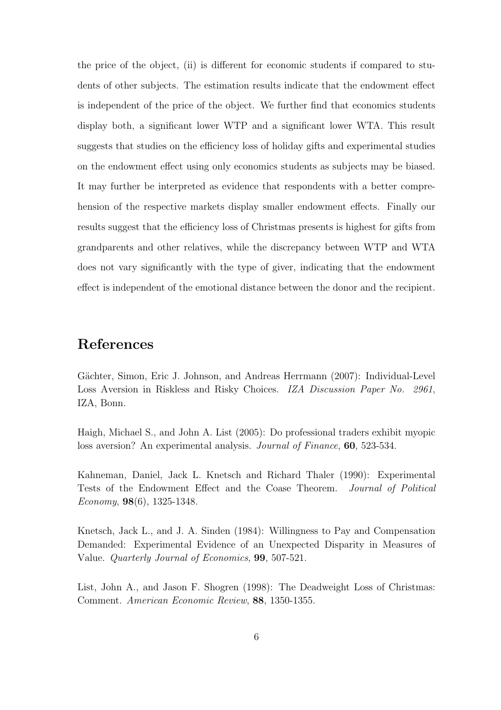the price of the object, (ii) is different for economic students if compared to students of other subjects. The estimation results indicate that the endowment effect is independent of the price of the object. We further find that economics students display both, a significant lower WTP and a significant lower WTA. This result suggests that studies on the efficiency loss of holiday gifts and experimental studies on the endowment effect using only economics students as subjects may be biased. It may further be interpreted as evidence that respondents with a better comprehension of the respective markets display smaller endowment effects. Finally our results suggest that the efficiency loss of Christmas presents is highest for gifts from grandparents and other relatives, while the discrepancy between WTP and WTA does not vary significantly with the type of giver, indicating that the endowment effect is independent of the emotional distance between the donor and the recipient.

#### References

Gächter, Simon, Eric J. Johnson, and Andreas Herrmann (2007): Individual-Level Loss Aversion in Riskless and Risky Choices. IZA Discussion Paper No. 2961, IZA, Bonn.

Haigh, Michael S., and John A. List (2005): Do professional traders exhibit myopic loss aversion? An experimental analysis. Journal of Finance, 60, 523-534.

Kahneman, Daniel, Jack L. Knetsch and Richard Thaler (1990): Experimental Tests of the Endowment Effect and the Coase Theorem. Journal of Political Economy, 98(6), 1325-1348.

Knetsch, Jack L., and J. A. Sinden (1984): Willingness to Pay and Compensation Demanded: Experimental Evidence of an Unexpected Disparity in Measures of Value. Quarterly Journal of Economics, 99, 507-521.

List, John A., and Jason F. Shogren (1998): The Deadweight Loss of Christmas: Comment. American Economic Review, 88, 1350-1355.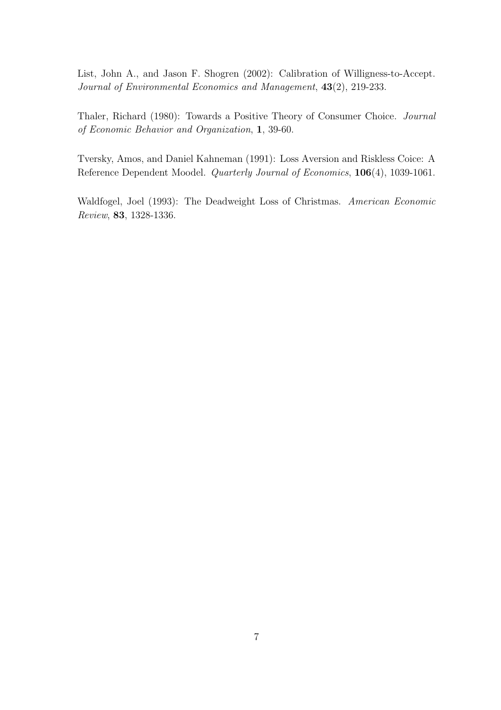List, John A., and Jason F. Shogren (2002): Calibration of Willigness-to-Accept. Journal of Environmental Economics and Management, 43(2), 219-233.

Thaler, Richard (1980): Towards a Positive Theory of Consumer Choice. Journal of Economic Behavior and Organization, 1, 39-60.

Tversky, Amos, and Daniel Kahneman (1991): Loss Aversion and Riskless Coice: A Reference Dependent Moodel. Quarterly Journal of Economics, 106(4), 1039-1061.

Waldfogel, Joel (1993): The Deadweight Loss of Christmas. American Economic Review, 83, 1328-1336.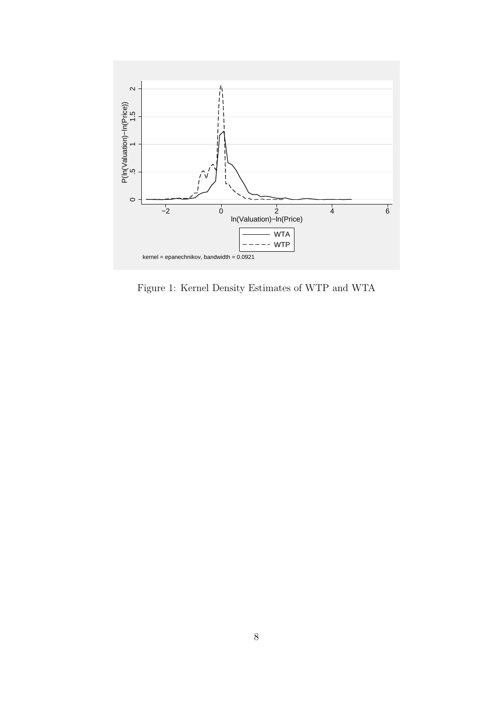

Figure 1: Kernel Density Estimates of WTP and WTA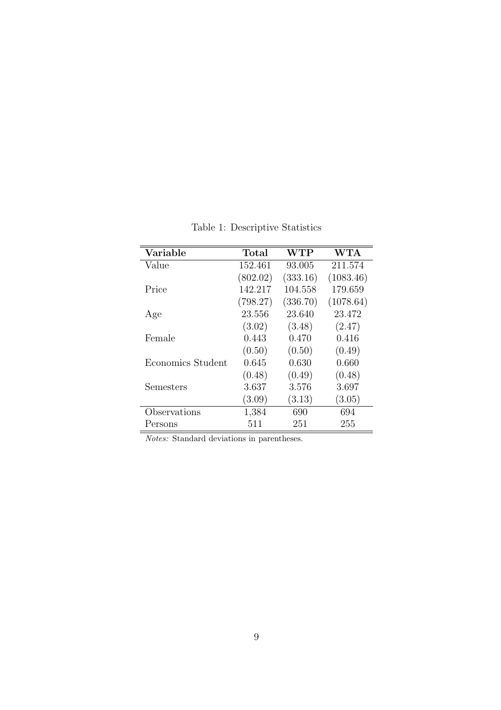| Variable          | Total    | ${\rm WTP}$ | <b>WTA</b> |
|-------------------|----------|-------------|------------|
| Value             | 152.461  | 93.005      | 211.574    |
|                   | (802.02) | (333.16)    | (1083.46)  |
| Price             | 142.217  | 104.558     | 179.659    |
|                   | (798.27) | (336.70)    | (1078.64)  |
| Age               | 23.556   | 23.640      | 23.472     |
|                   | (3.02)   | (3.48)      | (2.47)     |
| Female            | 0.443    | 0.470       | 0.416      |
|                   | (0.50)   | (0.50)      | (0.49)     |
| Economics Student | 0.645    | 0.630       | 0.660      |
|                   | (0.48)   | (0.49)      | (0.48)     |
| Semesters         | 3.637    | 3.576       | 3.697      |
|                   | (3.09)   | (3.13)      | (3.05)     |
| Observations      | 1,384    | 690         | 694        |
| Persons           | 511      | 251         | 255        |

Table 1: Descriptive Statistics

Notes: Standard deviations in parentheses.